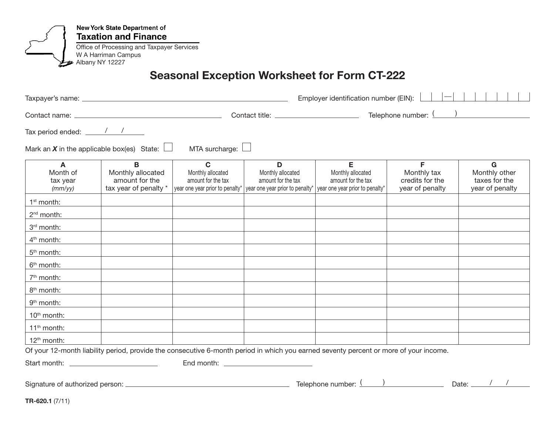**New York State Department of Taxation and Finance** Office of Processing and Taxpayer Services W A Harriman Campus **2** Albany NY 12227

# Seasonal Exception Worksheet for Form CT-222

|                                                                            |                                                                             | Employer identification number (EIN):                                                     |                                                                                 |                                                                                                                                       |                                                        |                                                        |
|----------------------------------------------------------------------------|-----------------------------------------------------------------------------|-------------------------------------------------------------------------------------------|---------------------------------------------------------------------------------|---------------------------------------------------------------------------------------------------------------------------------------|--------------------------------------------------------|--------------------------------------------------------|
|                                                                            |                                                                             | Contact title: ________________________                                                   |                                                                                 | Telephone number: ()                                                                                                                  |                                                        |                                                        |
| Tax period ended: $\frac{1}{2}$ / / ______                                 |                                                                             |                                                                                           |                                                                                 |                                                                                                                                       |                                                        |                                                        |
| MTA surcharge: $\Box$<br>Mark an X in the applicable box(es) State: $\Box$ |                                                                             |                                                                                           |                                                                                 |                                                                                                                                       |                                                        |                                                        |
| A<br>Month of<br>tax year<br>(mm/yy)                                       | $\mathbf B$<br>Monthly allocated<br>amount for the<br>tax year of penalty * | $\mathbf C$<br>Monthly allocated<br>amount for the tax<br>year one year prior to penalty* | D<br>Monthly allocated<br>amount for the tax<br>year one year prior to penalty* | E<br>Monthly allocated<br>amount for the tax<br>year one year prior to penalty*                                                       | F<br>Monthly tax<br>credits for the<br>year of penalty | G<br>Monthly other<br>taxes for the<br>year of penalty |
| $1st$ month:                                                               |                                                                             |                                                                                           |                                                                                 |                                                                                                                                       |                                                        |                                                        |
| 2 <sup>nd</sup> month:                                                     |                                                                             |                                                                                           |                                                                                 |                                                                                                                                       |                                                        |                                                        |
| 3rd month:                                                                 |                                                                             |                                                                                           |                                                                                 |                                                                                                                                       |                                                        |                                                        |
| 4 <sup>th</sup> month:                                                     |                                                                             |                                                                                           |                                                                                 |                                                                                                                                       |                                                        |                                                        |
| 5 <sup>th</sup> month:                                                     |                                                                             |                                                                                           |                                                                                 |                                                                                                                                       |                                                        |                                                        |
| 6 <sup>th</sup> month:                                                     |                                                                             |                                                                                           |                                                                                 |                                                                                                                                       |                                                        |                                                        |
| 7 <sup>th</sup> month:                                                     |                                                                             |                                                                                           |                                                                                 |                                                                                                                                       |                                                        |                                                        |
| 8 <sup>th</sup> month:                                                     |                                                                             |                                                                                           |                                                                                 |                                                                                                                                       |                                                        |                                                        |
| 9 <sup>th</sup> month:                                                     |                                                                             |                                                                                           |                                                                                 |                                                                                                                                       |                                                        |                                                        |
| 10 <sup>th</sup> month:                                                    |                                                                             |                                                                                           |                                                                                 |                                                                                                                                       |                                                        |                                                        |
| 11 <sup>th</sup> month:                                                    |                                                                             |                                                                                           |                                                                                 |                                                                                                                                       |                                                        |                                                        |
| 12 <sup>th</sup> month:                                                    |                                                                             |                                                                                           |                                                                                 |                                                                                                                                       |                                                        |                                                        |
|                                                                            |                                                                             |                                                                                           |                                                                                 | Of your 12-month liability period, provide the consecutive 6-month period in which you earned seventy percent or more of your income. |                                                        |                                                        |
|                                                                            |                                                                             |                                                                                           | End month: <u>________________________</u>                                      |                                                                                                                                       |                                                        |                                                        |
| Telephone number: $\frac{(\ \ )}{(\ \ )}$<br>Date: $\frac{1}{\sqrt{2\pi}}$ |                                                                             |                                                                                           |                                                                                 |                                                                                                                                       |                                                        |                                                        |

TR-620.1 (7/11)